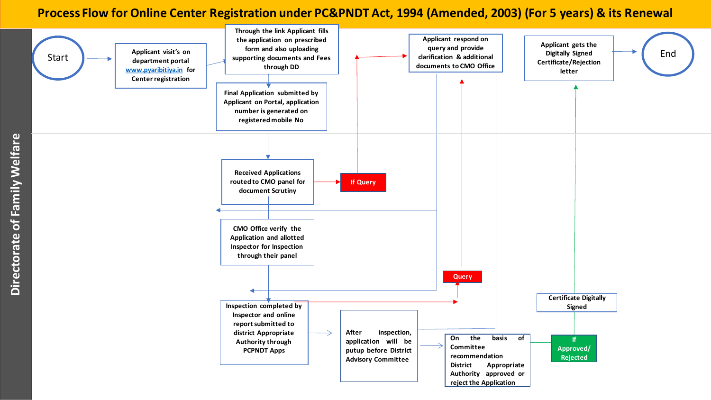#### **Process Flow for Online Center Registration under PC&PNDT Act, 1994 (Amended, 2003) (For 5 years) & its Renewal**

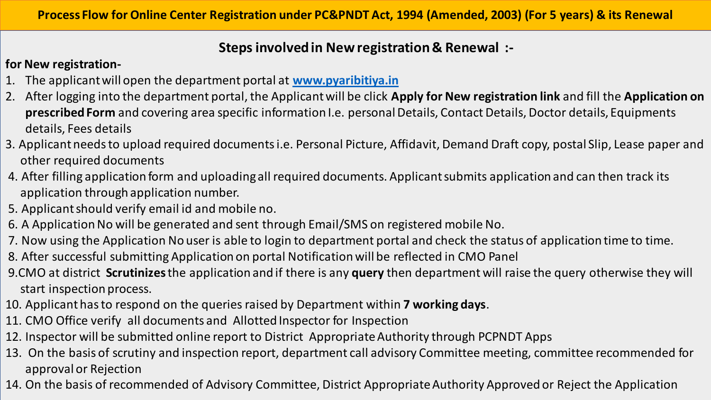## **Steps involved in New registration & Renewal :-**

### **for New registration-**

- 1. The applicant will open the department portal at **[www.pyaribitiya.in](http://www.pyaribitiya.in/)**
- 2. After logging into the department portal, the Applicant will be click **Apply for New registration link** and fill the **Application on prescribed Form** and covering area specific information I.e. personal Details, Contact Details, Doctor details, Equipments details, Fees details
- 3. Applicant needs to upload required documents i.e. Personal Picture, Affidavit, Demand Draft copy, postal Slip, Lease paper and other required documents
- 4. After filling application form and uploading all required documents. Applicant submits application and can then track its application through application number.
- 5. Applicant should verify email id and mobile no.
- 6. A Application No will be generated and sent through Email/SMS on registered mobile No.
- 7. Now using the Application No user is able to login to department portal and check the status of application time to time.
- 8. After successful submitting Application on portal Notification will be reflected in CMO Panel
- 9.CMO at district **Scrutinizes**the application and if there is any **query** then department will raise the query otherwise they will start inspection process.
- 10. Applicant has to respond on the queries raised by Department within **7 working days**.
- 11. CMO Office verify all documents and Allotted Inspector for Inspection
- 12. Inspector will be submitted online report to District Appropriate Authority through PCPNDT Apps
- 13. On the basis of scrutiny and inspection report, department call advisory Committee meeting, committee recommended for approval or Rejection
- 14. On the basis of recommended of Advisory Committee, District Appropriate Authority Approved or Reject the Application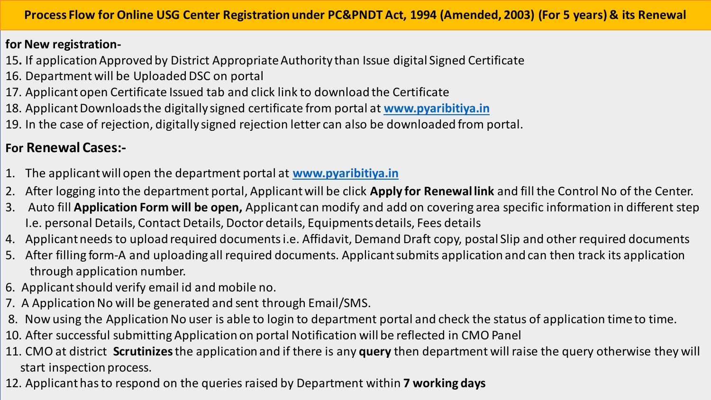#### **for New registration-**

- 15**.** If application Approved by District Appropriate Authority than Issue digital Signed Certificate
- 16. Department will be Uploaded DSC on portal
- 17. Applicant open Certificate Issued tab and click link to download the Certificate
- 18. Applicant Downloads the digitally signed certificate from portal at **[www.pyaribitiya.in](http://www.pyaribitiya.in/)**
- 19. In the case of rejection, digitally signed rejection letter can also be downloaded from portal.

# **For Renewal Cases:-**

- 1. The applicant will open the department portal at **[www.pyaribitiya.in](http://www.pyaribitiya.in/)**
- 2. After logging into the department portal, Applicant will be click **Apply for Renewal link** and fill the Control No of the Center.
- 3. Auto fill **Application Form will be open,** Applicant can modify and add on covering area specific information in different step I.e. personal Details, Contact Details, Doctor details, Equipments details, Fees details
- 4. Applicant needs to upload required documents i.e. Affidavit, Demand Draft copy, postal Slip and other required documents
- 5. After filling form-A and uploading all required documents. Applicant submits application and can then track its application through application number.
- 6. Applicant should verify email id and mobile no.
- 7. A Application No will be generated and sent through Email/SMS.
- 8. Now using the Application No user is able to login to department portal and check the status of application time to time.
- 10. After successful submitting Application on portal Notification will be reflected in CMO Panel
- 11. CMO at district **Scrutinizes**the application and if there is any **query** then department will raise the query otherwise they will start inspection process.
- 12. Applicant has to respond on the queries raised by Department within **7 working days**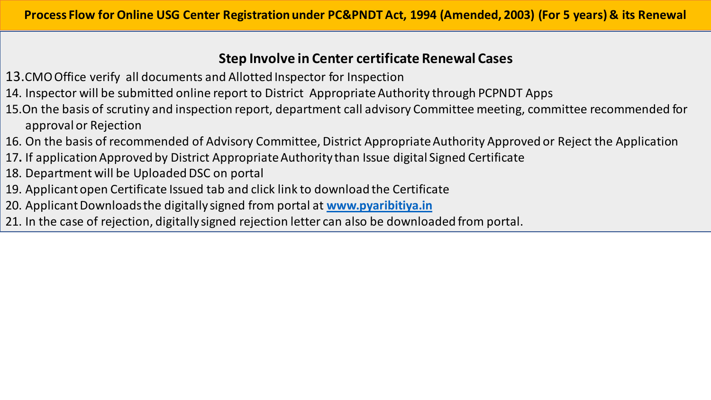## **Step Involve in Center certificate Renewal Cases**

- 13.CMO Office verify all documents and Allotted Inspector for Inspection
- 14. Inspector will be submitted online report to District Appropriate Authority through PCPNDT Apps
- 15.On the basis of scrutiny and inspection report, department call advisory Committee meeting, committee recommended for approval or Rejection
- 16. On the basis of recommended of Advisory Committee, District Appropriate Authority Approved or Reject the Application
- 17**.** If application Approved by District Appropriate Authority than Issue digital Signed Certificate
- 18. Department will be Uploaded DSC on portal
- 19. Applicant open Certificate Issued tab and click link to download the Certificate
- 20. Applicant Downloads the digitally signed from portal at **[www.pyaribitiya.in](http://www.pyaribitiya.in/)**
- 21. In the case of rejection, digitally signed rejection letter can also be downloaded from portal.